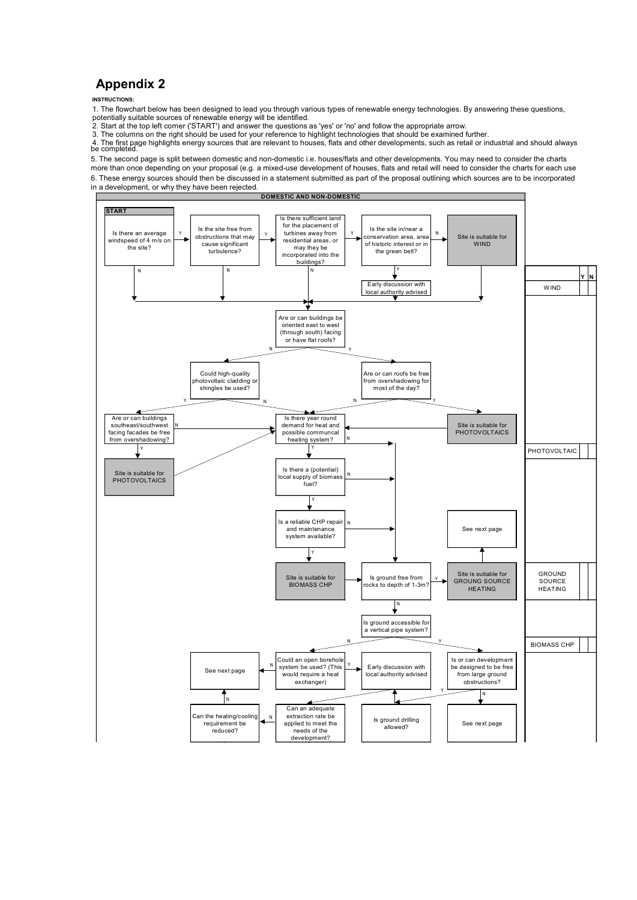## **Appendix 2**

## **INSTRUCTIONS:**

1. The flowchart below has been designed to lead you through various types of renewable energy technologies. By answering these questions,

potentially suitable sources of renewable energy will be identified. 2. Start at the top left corner ('START') and answer the questions as 'yes' or 'no' and follow the appropriate arrow.

3. The columns on the right should be used for your reference to highlight technologies that should be examined further.<br>4. The first page highlights energy sources that are relevant to houses, flats and other developments

5. The second page is split between domestic and non-domestic i.e. houses/flats and other developments. You may need to consider the charts

6. These energy sources should then be discussed in a statement submitted as part of the proposal outlining which sources are to be incorporated in a development, or why they have been rejected more than once depending on your proposal (e.g. a mixed-use development of houses, flats and retail will need to consider the charts for each use